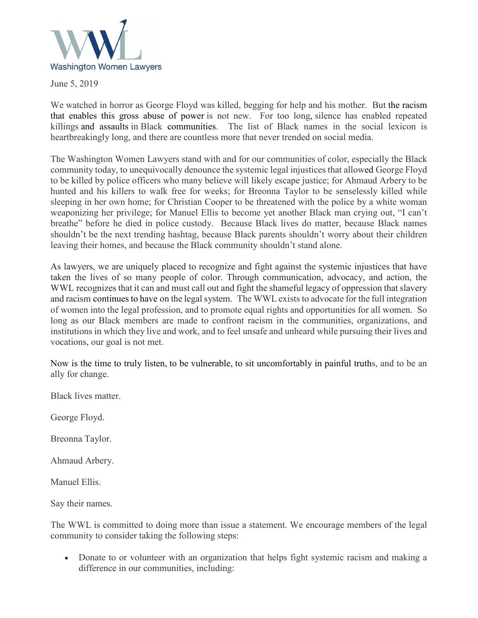

June 5, 2019

We watched in horror as George Floyd was killed, begging for help and his mother. But the racism that enables this gross abuse of power is not new. For too long, silence has enabled repeated killings and assaults in Black communities. The list of Black names in the social lexicon is heartbreakingly long, and there are countless more that never trended on social media.

The Washington Women Lawyers stand with and for our communities of color, especially the Black community today, to unequivocally denounce the systemic legal injustices that allowed George Floyd to be killed by police officers who many believe will likely escape justice; for Ahmaud Arbery to be hunted and his killers to walk free for weeks; for Breonna Taylor to be senselessly killed while sleeping in her own home; for Christian Cooper to be threatened with the police by a white woman weaponizing her privilege; for Manuel Ellis to become yet another Black man crying out, "I can't breathe" before he died in police custody. Because Black lives do matter, because Black names shouldn't be the next trending hashtag, because Black parents shouldn't worry about their children leaving their homes, and because the Black community shouldn't stand alone.

As lawyers, we are uniquely placed to recognize and fight against the systemic injustices that have taken the lives of so many people of color. Through communication, advocacy, and action, the WWL recognizes that it can and must call out and fight the shameful legacy of oppression that slavery and racism continues to have on the legal system. The WWL exists to advocate for the full integration of women into the legal profession, and to promote equal rights and opportunities for all women. So long as our Black members are made to confront racism in the communities, organizations, and institutions in which they live and work, and to feel unsafe and unheard while pursuing their lives and vocations, our goal is not met.

Now is the time to truly listen, to be vulnerable, to sit uncomfortably in painful truths, and to be an ally for change.

Black lives matter.

George Floyd.

Breonna Taylor.

Ahmaud Arbery.

Manuel Ellis.

Say their names.

The WWL is committed to doing more than issue a statement. We encourage members of the legal community to consider taking the following steps:

• Donate to or volunteer with an organization that helps fight systemic racism and making a difference in our communities, including: